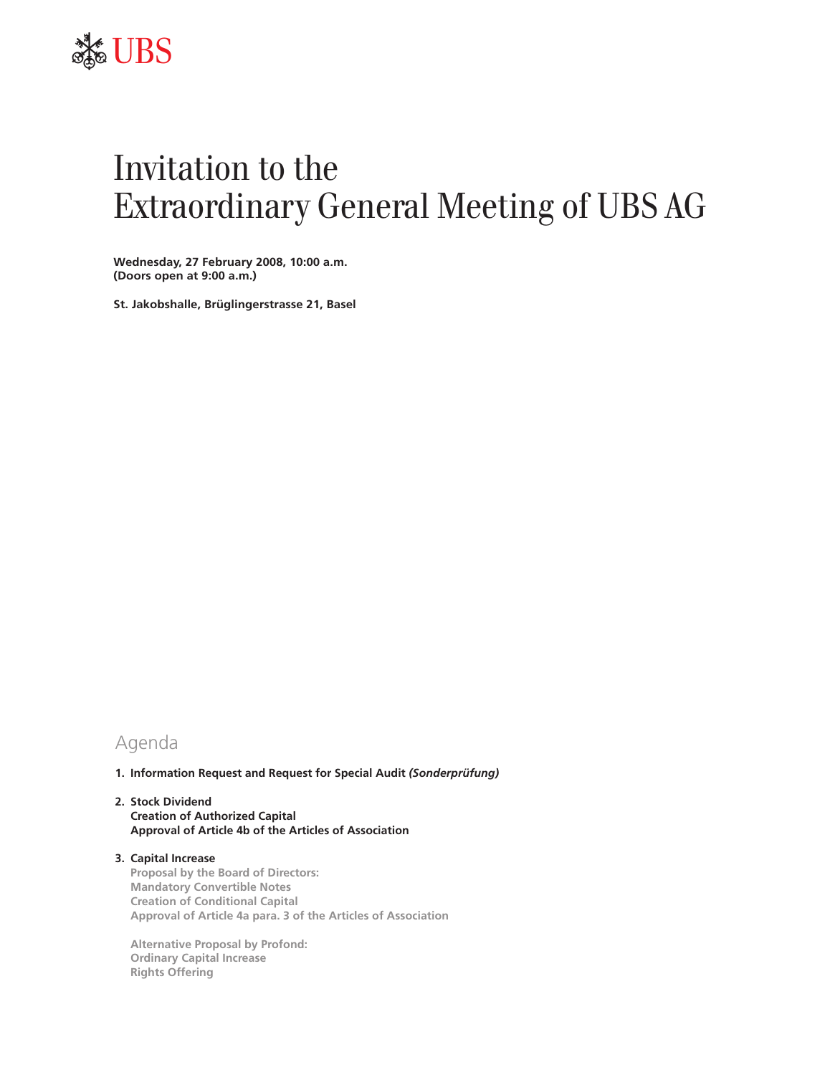

# Invitation to the Extraordinary General Meeting of UBS AG

**Wednesday, 27 February 2008, 10:00 a.m. (Doors open at 9:00 a.m.)**

**St. Jakobshalle, Brüglingerstrasse 21, Basel**

# Agenda

**1. Information Request and Request for Special Audit** *(Sonderprüfung)* 

## **2. Stock Dividend Creation of Authorized Capital Approval of Article 4b of the Articles of Association**

**3. Capital Increase Proposal by the Board of Directors: Mandatory Convertible Notes Creation of Conditional Capital Approval of Article 4a para. 3 of the Articles of Association**

**Alternative Proposal by Profond: Ordinary Capital Increase Rights Offering**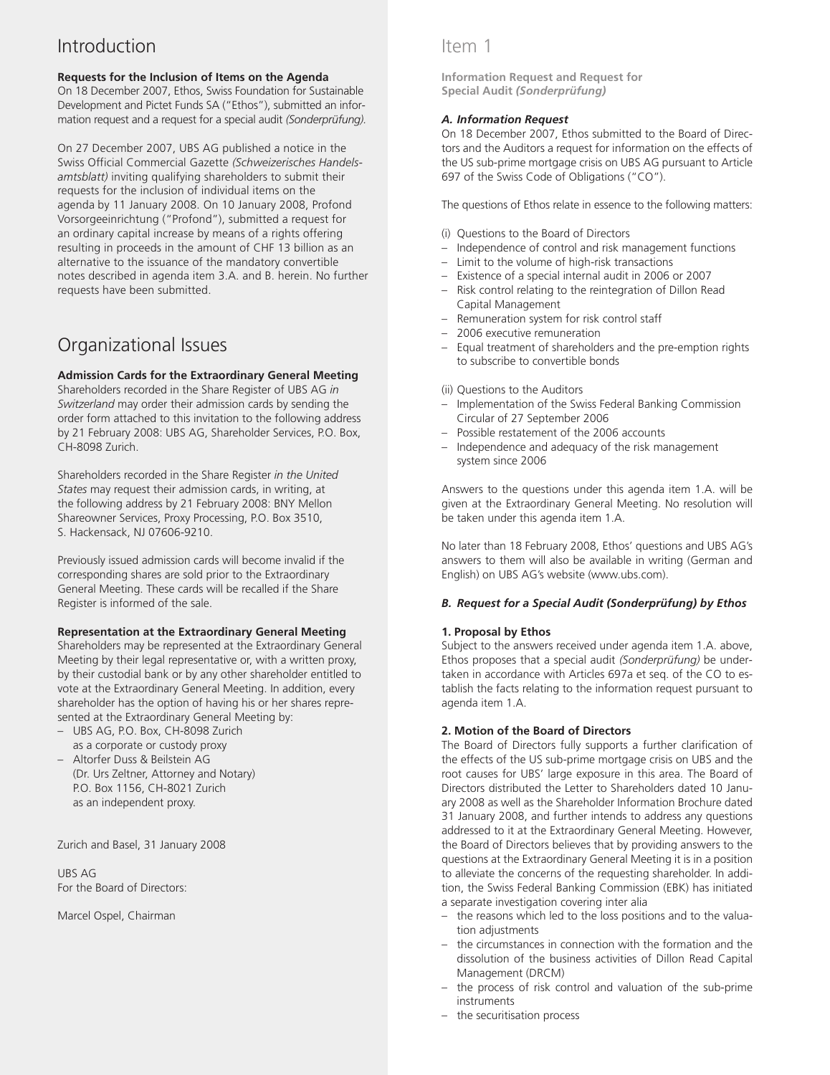# Introduction

## **Requests for the Inclusion of Items on the Agenda**

On 18 December 2007, Ethos, Swiss Foundation for Sustainable Development and Pictet Funds SA ("Ethos"), submitted an information request and a request for a special audit *(Sonderprüfung).*

On 27 December 2007, UBS AG published a notice in the Swiss Official Commercial Gazette *(Schweizerisches Handelsamtsblatt)* inviting qualifying shareholders to submit their requests for the inclusion of individual items on the agenda by 11 January 2008. On 10 January 2008, Profond Vorsorgeeinrichtung ("Profond"), submitted a request for an ordinary capital increase by means of a rights offering resulting in proceeds in the amount of CHF 13 billion as an alternative to the issuance of the mandatory convertible notes described in agenda item 3.A. and B. herein. No further requests have been submitted.

# Organizational Issues

## **Admission Cards for the Extraordinary General Meeting**

Shareholders recorded in the Share Register of UBS AG *in Switzerland* may order their admission cards by sending the order form attached to this invitation to the following address by 21 February 2008: UBS AG, Shareholder Services, P.O. Box, CH-8098 Zurich.

Shareholders recorded in the Share Register *in the United States* may request their admission cards, in writing, at the following address by 21 February 2008: BNY Mellon Shareowner Services, Proxy Processing, P.O. Box 3510, S. Hackensack, NJ 07606-9210.

Previously issued admission cards will become invalid if the corresponding shares are sold prior to the Extraordinary General Meeting. These cards will be recalled if the Share Register is informed of the sale.

## **Representation at the Extraordinary General Meeting**

Shareholders may be represented at the Extraordinary General Meeting by their legal representative or, with a written proxy, by their custodial bank or by any other shareholder entitled to vote at the Extraordinary General Meeting. In addition, every shareholder has the option of having his or her shares represented at the Extraordinary General Meeting by:

- UBS AG, P.O. Box, CH-8098 Zurich as a corporate or custody proxy
- Altorfer Duss & Beilstein AG (Dr. Urs Zeltner, Attorney and Notary) P.O. Box 1156, CH-8021 Zurich as an independent proxy.

Zurich and Basel, 31 January 2008

UBS AG For the Board of Directors:

Marcel Ospel, Chairman

## Item 1

**Information Request and Request for Special Audit** *(Sonderprüfung)* 

## *A. Information Request*

On 18 December 2007, Ethos submitted to the Board of Directors and the Auditors a request for information on the effects of the US sub-prime mortgage crisis on UBS AG pursuant to Article 697 of the Swiss Code of Obligations ("CO").

The questions of Ethos relate in essence to the following matters:

- (i) Questions to the Board of Directors
- Independence of control and risk management functions
- Limit to the volume of high-risk transactions
- Existence of a special internal audit in 2006 or 2007
- Risk control relating to the reintegration of Dillon Read Capital Management
- Remuneration system for risk control staff
- 2006 executive remuneration
- Equal treatment of shareholders and the pre-emption rights to subscribe to convertible bonds
- (ii) Questions to the Auditors
- Implementation of the Swiss Federal Banking Commission Circular of 27 September 2006
- Possible restatement of the 2006 accounts
- Independence and adequacy of the risk management system since 2006

Answers to the questions under this agenda item 1.A. will be given at the Extraordinary General Meeting. No resolution will be taken under this agenda item 1.A.

No later than 18 February 2008, Ethos' questions and UBS AG's answers to them will also be available in writing (German and English) on UBS AG's website (www.ubs.com).

## *B. Request for a Special Audit (Sonderprüfung) by Ethos*

## **1. Proposal by Ethos**

Subject to the answers received under agenda item 1.A. above, Ethos proposes that a special audit *(Sonderprüfung)* be undertaken in accordance with Articles 697a et seq. of the CO to establish the facts relating to the information request pursuant to agenda item 1.A.

## **2. Motion of the Board of Directors**

The Board of Directors fully supports a further clarification of the effects of the US sub-prime mortgage crisis on UBS and the root causes for UBS' large exposure in this area. The Board of Directors distributed the Letter to Shareholders dated 10 January 2008 as well as the Shareholder Information Brochure dated 31 January 2008, and further intends to address any questions addressed to it at the Extraordinary General Meeting. However, the Board of Directors believes that by providing answers to the questions at the Extraordinary General Meeting it is in a position to alleviate the concerns of the requesting shareholder. In addition, the Swiss Federal Banking Commission (EBK) has initiated a separate investigation covering inter alia

- the reasons which led to the loss positions and to the valuation adjustments
- the circumstances in connection with the formation and the dissolution of the business activities of Dillon Read Capital Management (DRCM)
- the process of risk control and valuation of the sub-prime instruments
- the securitisation process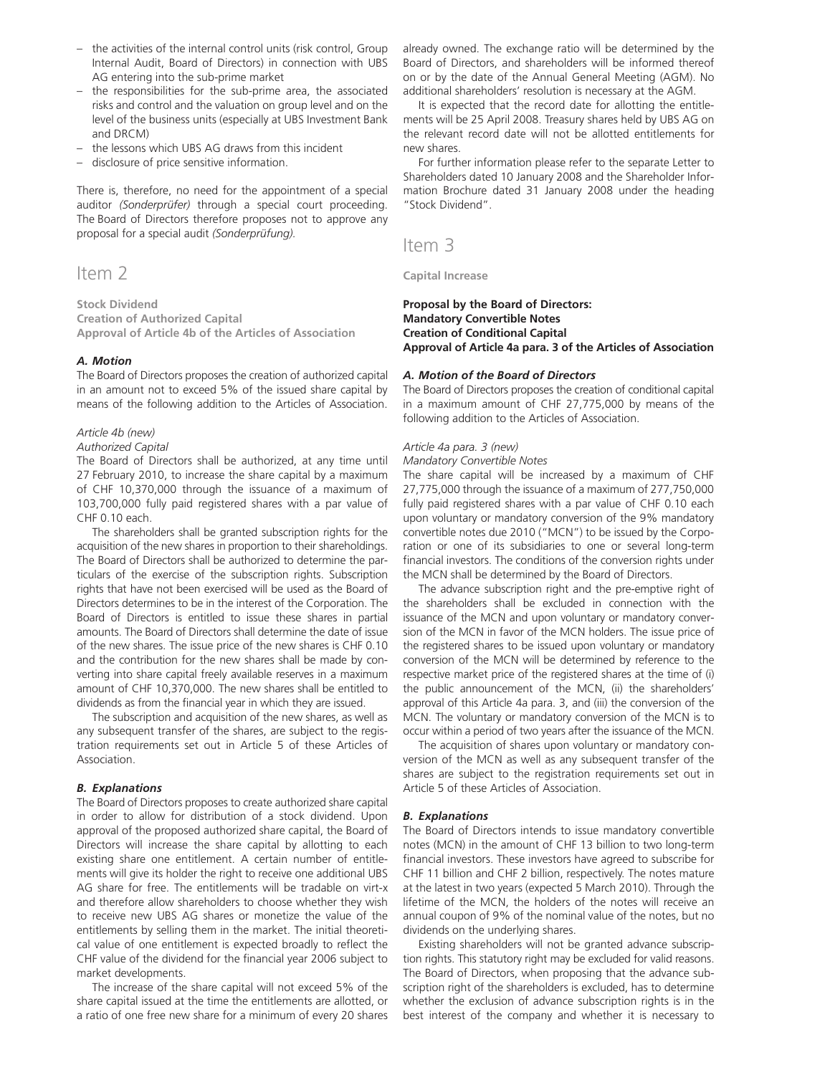- the activities of the internal control units (risk control, Group Internal Audit, Board of Directors) in connection with UBS AG entering into the sub-prime market
- the responsibilities for the sub-prime area, the associated risks and control and the valuation on group level and on the level of the business units (especially at UBS Investment Bank and DRCM)
- the lessons which UBS AG draws from this incident
- disclosure of price sensitive information.

There is, therefore, no need for the appointment of a special auditor *(Sonderprüfer)* through a special court proceeding. The Board of Directors therefore proposes not to approve any proposal for a special audit *(Sonderprüfung).*

## Item 2

**Stock Dividend Creation of Authorized Capital Approval of Article 4b of the Articles of Association**

#### *A. Motion*

The Board of Directors proposes the creation of authorized capital in an amount not to exceed 5% of the issued share capital by means of the following addition to the Articles of Association.

### *Article 4b (new)*

#### *Authorized Capital*

The Board of Directors shall be authorized, at any time until 27 February 2010, to increase the share capital by a maximum of CHF 10,370,000 through the issuance of a maximum of 103,700,000 fully paid registered shares with a par value of CHF 0.10 each.

The shareholders shall be granted subscription rights for the acquisition of the new shares in proportion to their shareholdings. The Board of Directors shall be authorized to determine the particulars of the exercise of the subscription rights. Subscription rights that have not been exercised will be used as the Board of Directors determines to be in the interest of the Corporation. The Board of Directors is entitled to issue these shares in partial amounts. The Board of Directors shall determine the date of issue of the new shares. The issue price of the new shares is CHF 0.10 and the contribution for the new shares shall be made by converting into share capital freely available reserves in a maximum amount of CHF 10,370,000. The new shares shall be entitled to dividends as from the financial year in which they are issued.

The subscription and acquisition of the new shares, as well as any subsequent transfer of the shares, are subject to the registration requirements set out in Article 5 of these Articles of Association.

#### *B. Explanations*

The Board of Directors proposes to create authorized share capital in order to allow for distribution of a stock dividend. Upon approval of the proposed authorized share capital, the Board of Directors will increase the share capital by allotting to each existing share one entitlement. A certain number of entitlements will give its holder the right to receive one additional UBS AG share for free. The entitlements will be tradable on virt-x and therefore allow shareholders to choose whether they wish to receive new UBS AG shares or monetize the value of the entitlements by selling them in the market. The initial theoretical value of one entitlement is expected broadly to reflect the CHF value of the dividend for the financial year 2006 subject to market developments.

The increase of the share capital will not exceed 5% of the share capital issued at the time the entitlements are allotted, or a ratio of one free new share for a minimum of every 20 shares

already owned. The exchange ratio will be determined by the Board of Directors, and shareholders will be informed thereof on or by the date of the Annual General Meeting (AGM). No additional shareholders' resolution is necessary at the AGM.

It is expected that the record date for allotting the entitlements will be 25 April 2008. Treasury shares held by UBS AG on the relevant record date will not be allotted entitlements for new shares.

For further information please refer to the separate Letter to Shareholders dated 10 January 2008 and the Shareholder Information Brochure dated 31 January 2008 under the heading "Stock Dividend".

## Item 3

**Capital Increase**

## **Proposal by the Board of Directors: Mandatory Convertible Notes Creation of Conditional Capital Approval of Article 4a para. 3 of the Articles of Association**

#### *A. Motion of the Board of Directors*

The Board of Directors proposes the creation of conditional capital in a maximum amount of CHF 27,775,000 by means of the following addition to the Articles of Association.

## *Article 4a para. 3 (new)*

*Mandatory Convertible Notes*

The share capital will be increased by a maximum of CHF 27,775,000 through the issuance of a maximum of 277,750,000 fully paid registered shares with a par value of CHF 0.10 each upon voluntary or mandatory conversion of the 9% mandatory convertible notes due 2010 ("MCN") to be issued by the Corporation or one of its subsidiaries to one or several long-term financial investors. The conditions of the conversion rights under the MCN shall be determined by the Board of Directors.

The advance subscription right and the pre-emptive right of the shareholders shall be excluded in connection with the issuance of the MCN and upon voluntary or mandatory conversion of the MCN in favor of the MCN holders. The issue price of the registered shares to be issued upon voluntary or mandatory conversion of the MCN will be determined by reference to the respective market price of the registered shares at the time of (i) the public announcement of the MCN, (ii) the shareholders' approval of this Article 4a para. 3, and (iii) the conversion of the MCN. The voluntary or mandatory conversion of the MCN is to occur within a period of two years after the issuance of the MCN.

The acquisition of shares upon voluntary or mandatory conversion of the MCN as well as any subsequent transfer of the shares are subject to the registration requirements set out in Article 5 of these Articles of Association.

#### *B. Explanations*

The Board of Directors intends to issue mandatory convertible notes (MCN) in the amount of CHF 13 billion to two long-term financial investors. These investors have agreed to subscribe for CHF 11 billion and CHF 2 billion, respectively. The notes mature at the latest in two years (expected 5 March 2010). Through the lifetime of the MCN, the holders of the notes will receive an annual coupon of 9% of the nominal value of the notes, but no dividends on the underlying shares.

Existing shareholders will not be granted advance subscription rights. This statutory right may be excluded for valid reasons. The Board of Directors, when proposing that the advance subscription right of the shareholders is excluded, has to determine whether the exclusion of advance subscription rights is in the best interest of the company and whether it is necessary to